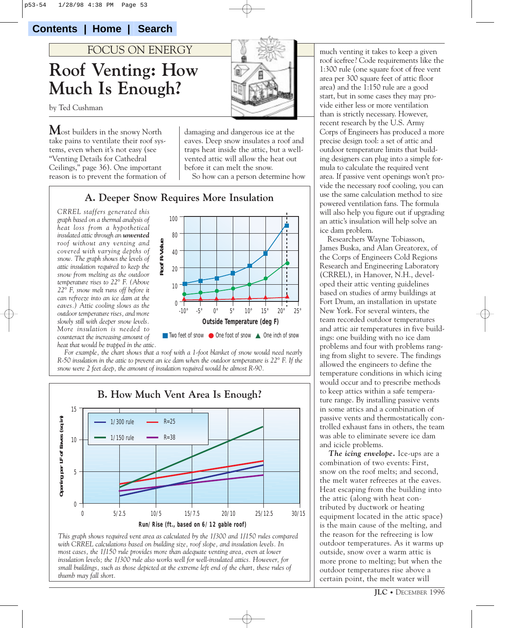**Contents | Home | Search**

# **Roof Venting: How Much Is Enough?** FOCUS ON ENERGY

by Ted Cushman

**M**ost builders in the snowy North take pains to ventilate their roof systems, even when it's not easy (see "Venting Details for Cathedral Ceilings," page 36). One important reason is to prevent the formation of



damaging and dangerous ice at the eaves. Deep snow insulates a roof and traps heat inside the attic, but a wellvented attic will allow the heat out before it can melt the snow.

So how can a person determine how

#### **A. Deeper Snow Requires More Insulation**

*CRREL staffers generated this graph based on a thermal analysis of heat loss from a hypothetical insulated attic through an unvented roof without any venting and covered with varying depths of snow. The graph shows the levels of attic insulation required to keep the snow from melting as the outdoor temperature rises to 22° F. (Above 22° F, snow melt runs off before it can refreeze into an ice dam at the eaves.) Attic cooling slows as the outdoor temperature rises, and more slowly still with deeper snow levels. More insulation is needed to counteract the increasing amount of heat that would be trapped in the attic.*



*For example, the chart shows that a roof with a 1-foot blanket of snow would need nearly R-50 insulation in the attic to prevent an ice dam when the outdoor temperature is 22° F. If the snow were 2 feet deep, the amount of insulation required would be almost R-90.*





much venting it takes to keep a given roof icefree? Code requirements like the 1:300 rule (one square foot of free vent area per 300 square feet of attic floor area) and the 1:150 rule are a good start, but in some cases they may provide either less or more ventilation than is strictly necessary. However, recent research by the U.S. Army Corps of Engineers has produced a more precise design tool: a set of attic and outdoor temperature limits that building designers can plug into a simple formula to calculate the required vent area. If passive vent openings won't provide the necessary roof cooling, you can use the same calculation method to size powered ventilation fans. The formula will also help you figure out if upgrading an attic's insulation will help solve an ice dam problem.

Researchers Wayne Tobiasson, James Buska, and Alan Greatorex, of the Corps of Engineers Cold Regions Research and Engineering Laboratory (CRREL), in Hanover, N.H., developed their attic venting guidelines based on studies of army buildings at Fort Drum, an installation in upstate New York. For several winters, the team recorded outdoor temperatures and attic air temperatures in five buildings: one building with no ice dam problems and four with problems ranging from slight to severe. The findings allowed the engineers to define the temperature conditions in which icing would occur and to prescribe methods to keep attics within a safe temperature range. By installing passive vents in some attics and a combination of passive vents and thermostatically controlled exhaust fans in others, the team was able to eliminate severe ice dam and icicle problems.

*The icing envelope.* Ice-ups are a combination of two events: First, snow on the roof melts; and second, the melt water refreezes at the eaves. Heat escaping from the building into the attic (along with heat contributed by ductwork or heating equipment located in the attic space) is the main cause of the melting, and the reason for the refreezing is low outdoor temperatures. As it warms up outside, snow over a warm attic is more prone to melting; but when the outdoor temperatures rise above a certain point, the melt water will